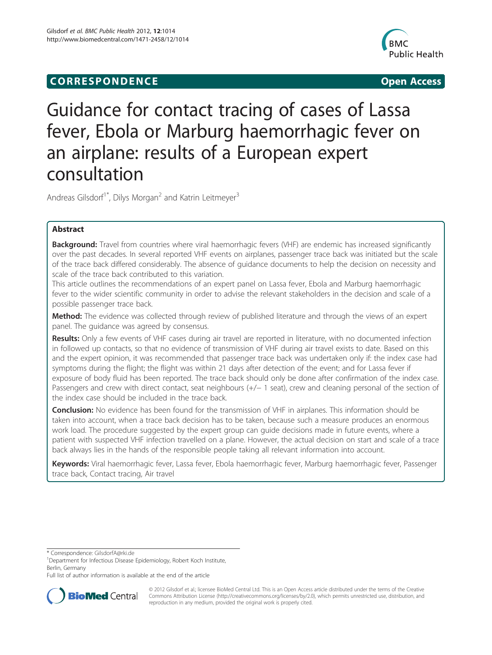# **CORRESPONDENCE CORRESPONDENCE**



# Guidance for contact tracing of cases of Lassa fever, Ebola or Marburg haemorrhagic fever on an airplane: results of a European expert consultation

Andreas Gilsdorf<sup>1\*</sup>, Dilys Morgan<sup>2</sup> and Katrin Leitmeyer<sup>3</sup>

# Abstract

**Background:** Travel from countries where viral haemorrhagic fevers (VHF) are endemic has increased significantly over the past decades. In several reported VHF events on airplanes, passenger trace back was initiated but the scale of the trace back differed considerably. The absence of guidance documents to help the decision on necessity and scale of the trace back contributed to this variation.

This article outlines the recommendations of an expert panel on Lassa fever, Ebola and Marburg haemorrhagic fever to the wider scientific community in order to advise the relevant stakeholders in the decision and scale of a possible passenger trace back.

**Method:** The evidence was collected through review of published literature and through the views of an expert panel. The guidance was agreed by consensus.

Results: Only a few events of VHF cases during air travel are reported in literature, with no documented infection in followed up contacts, so that no evidence of transmission of VHF during air travel exists to date. Based on this and the expert opinion, it was recommended that passenger trace back was undertaken only if: the index case had symptoms during the flight; the flight was within 21 days after detection of the event; and for Lassa fever if exposure of body fluid has been reported. The trace back should only be done after confirmation of the index case. Passengers and crew with direct contact, seat neighbours (+/− 1 seat), crew and cleaning personal of the section of the index case should be included in the trace back.

Conclusion: No evidence has been found for the transmission of VHF in airplanes. This information should be taken into account, when a trace back decision has to be taken, because such a measure produces an enormous work load. The procedure suggested by the expert group can guide decisions made in future events, where a patient with suspected VHF infection travelled on a plane. However, the actual decision on start and scale of a trace back always lies in the hands of the responsible people taking all relevant information into account.

Keywords: Viral haemorrhagic fever, Lassa fever, Ebola haemorrhagic fever, Marburg haemorrhagic fever, Passenger trace back, Contact tracing, Air travel

\* Correspondence: [GilsdorfA@rki.de](mailto:GilsdorfA@rki.de) <sup>1</sup>

<sup>1</sup>Department for Infectious Disease Epidemiology, Robert Koch Institute, Berlin, Germany

Full list of author information is available at the end of the article



© 2012 Gilsdorf et al.; licensee BioMed Central Ltd. This is an Open Access article distributed under the terms of the Creative Commons Attribution License [\(http://creativecommons.org/licenses/by/2.0\)](http://creativecommons.org/licenses/by/2.0), which permits unrestricted use, distribution, and reproduction in any medium, provided the original work is properly cited.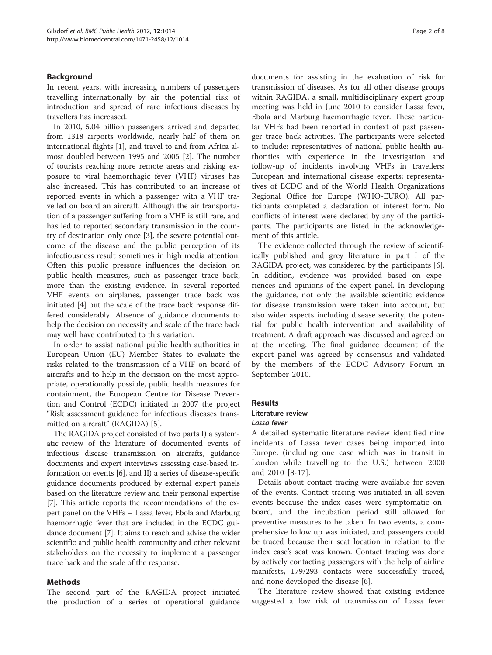# Background

In recent years, with increasing numbers of passengers travelling internationally by air the potential risk of introduction and spread of rare infectious diseases by travellers has increased.

In 2010, 5.04 billion passengers arrived and departed from 1318 airports worldwide, nearly half of them on international flights [\[1](#page-6-0)], and travel to and from Africa almost doubled between 1995 and 2005 [\[2](#page-6-0)]. The number of tourists reaching more remote areas and risking exposure to viral haemorrhagic fever (VHF) viruses has also increased. This has contributed to an increase of reported events in which a passenger with a VHF travelled on board an aircraft. Although the air transportation of a passenger suffering from a VHF is still rare, and has led to reported secondary transmission in the country of destination only once [[3\]](#page-6-0), the severe potential outcome of the disease and the public perception of its infectiousness result sometimes in high media attention. Often this public pressure influences the decision on public health measures, such as passenger trace back, more than the existing evidence. In several reported VHF events on airplanes, passenger trace back was initiated [[4\]](#page-6-0) but the scale of the trace back response differed considerably. Absence of guidance documents to help the decision on necessity and scale of the trace back may well have contributed to this variation.

In order to assist national public health authorities in European Union (EU) Member States to evaluate the risks related to the transmission of a VHF on board of aircrafts and to help in the decision on the most appropriate, operationally possible, public health measures for containment, the European Centre for Disease Prevention and Control (ECDC) initiated in 2007 the project "Risk assessment guidance for infectious diseases transmitted on aircraft" (RAGIDA) [[5\]](#page-6-0).

The RAGIDA project consisted of two parts I) a systematic review of the literature of documented events of infectious disease transmission on aircrafts, guidance documents and expert interviews assessing case-based information on events [[6\]](#page-6-0), and II) a series of disease-specific guidance documents produced by external expert panels based on the literature review and their personal expertise [[7\]](#page-6-0). This article reports the recommendations of the expert panel on the VHFs – Lassa fever, Ebola and Marburg haemorrhagic fever that are included in the ECDC guidance document [\[7](#page-6-0)]. It aims to reach and advise the wider scientific and public health community and other relevant stakeholders on the necessity to implement a passenger trace back and the scale of the response.

# Methods

The second part of the RAGIDA project initiated the production of a series of operational guidance

documents for assisting in the evaluation of risk for transmission of diseases. As for all other disease groups within RAGIDA, a small, multidisciplinary expert group meeting was held in June 2010 to consider Lassa fever, Ebola and Marburg haemorrhagic fever. These particular VHFs had been reported in context of past passenger trace back activities. The participants were selected to include: representatives of national public health authorities with experience in the investigation and follow-up of incidents involving VHFs in travellers; European and international disease experts; representatives of ECDC and of the World Health Organizations Regional Office for Europe (WHO-EURO). All participants completed a declaration of interest form. No conflicts of interest were declared by any of the participants. The participants are listed in the acknowledgement of this article.

The evidence collected through the review of scientifically published and grey literature in part I of the RAGIDA project, was considered by the participants [\[6](#page-6-0)]. In addition, evidence was provided based on experiences and opinions of the expert panel. In developing the guidance, not only the available scientific evidence for disease transmission were taken into account, but also wider aspects including disease severity, the potential for public health intervention and availability of treatment. A draft approach was discussed and agreed on at the meeting. The final guidance document of the expert panel was agreed by consensus and validated by the members of the ECDC Advisory Forum in September 2010.

# Results

# Literature review

# Lassa fever

Lassa fever A detailed systematic literature review identified nine incidents of Lassa fever cases being imported into Europe, (including one case which was in transit in London while travelling to the U.S.) between 2000 and 2010 [\[8](#page-6-0)-[17](#page-6-0)].

Details about contact tracing were available for seven of the events. Contact tracing was initiated in all seven events because the index cases were symptomatic onboard, and the incubation period still allowed for preventive measures to be taken. In two events, a comprehensive follow up was initiated, and passengers could be traced because their seat location in relation to the index case's seat was known. Contact tracing was done by actively contacting passengers with the help of airline manifests, 179/293 contacts were successfully traced, and none developed the disease [[6](#page-6-0)].

The literature review showed that existing evidence suggested a low risk of transmission of Lassa fever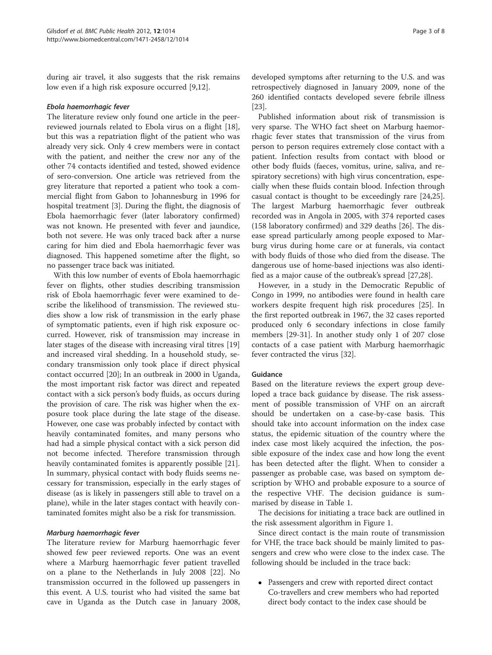during air travel, it also suggests that the risk remains low even if a high risk exposure occurred [\[9,12](#page-6-0)].

The literature review only found one article in the peerreviewed journals related to Ebola virus on a flight [\[18](#page-6-0)], but this was a repatriation flight of the patient who was already very sick. Only 4 crew members were in contact with the patient, and neither the crew nor any of the other 74 contacts identified and tested, showed evidence of sero-conversion. One article was retrieved from the grey literature that reported a patient who took a commercial flight from Gabon to Johannesburg in 1996 for hospital treatment [\[3](#page-6-0)]. During the flight, the diagnosis of Ebola haemorrhagic fever (later laboratory confirmed) was not known. He presented with fever and jaundice, both not severe. He was only traced back after a nurse caring for him died and Ebola haemorrhagic fever was diagnosed. This happened sometime after the flight, so no passenger trace back was initiated.

With this low number of events of Ebola haemorrhagic fever on flights, other studies describing transmission risk of Ebola haemorrhagic fever were examined to describe the likelihood of transmission. The reviewed studies show a low risk of transmission in the early phase of symptomatic patients, even if high risk exposure occurred. However, risk of transmission may increase in later stages of the disease with increasing viral titres [[19](#page-6-0)] and increased viral shedding. In a household study, secondary transmission only took place if direct physical contact occurred [[20\]](#page-6-0); In an outbreak in 2000 in Uganda, the most important risk factor was direct and repeated contact with a sick person's body fluids, as occurs during the provision of care. The risk was higher when the exposure took place during the late stage of the disease. However, one case was probably infected by contact with heavily contaminated fomites, and many persons who had had a simple physical contact with a sick person did not become infected. Therefore transmission through heavily contaminated fomites is apparently possible [\[21](#page-6-0)]. In summary, physical contact with body fluids seems necessary for transmission, especially in the early stages of disease (as is likely in passengers still able to travel on a plane), while in the later stages contact with heavily contaminated fomites might also be a risk for transmission.

The literature review for Marburg haemorrhagic fever showed few peer reviewed reports. One was an event where a Marburg haemorrhagic fever patient travelled on a plane to the Netherlands in July 2008 [[22](#page-6-0)]. No transmission occurred in the followed up passengers in this event. A U.S. tourist who had visited the same bat cave in Uganda as the Dutch case in January 2008,

developed symptoms after returning to the U.S. and was retrospectively diagnosed in January 2009, none of the 260 identified contacts developed severe febrile illness [[23\]](#page-6-0).

Published information about risk of transmission is very sparse. The WHO fact sheet on Marburg haemorrhagic fever states that transmission of the virus from person to person requires extremely close contact with a patient. Infection results from contact with blood or other body fluids (faeces, vomitus, urine, saliva, and respiratory secretions) with high virus concentration, especially when these fluids contain blood. Infection through casual contact is thought to be exceedingly rare [\[24,25](#page-6-0)]. The largest Marburg haemorrhagic fever outbreak recorded was in Angola in 2005, with 374 reported cases (158 laboratory confirmed) and 329 deaths [\[26\]](#page-6-0). The disease spread particularly among people exposed to Marburg virus during home care or at funerals, via contact with body fluids of those who died from the disease. The dangerous use of home-based injections was also identified as a major cause of the outbreak's spread [[27,28\]](#page-6-0).

However, in a study in the Democratic Republic of Congo in 1999, no antibodies were found in health care workers despite frequent high risk procedures [[25\]](#page-6-0). In the first reported outbreak in 1967, the 32 cases reported produced only 6 secondary infections in close family members [[29-31\]](#page-6-0). In another study only 1 of 207 close contacts of a case patient with Marburg haemorrhagic fever contracted the virus [[32\]](#page-6-0).

### Guidance

Based on the literature reviews the expert group developed a trace back guidance by disease. The risk assessment of possible transmission of VHF on an aircraft should be undertaken on a case-by-case basis. This should take into account information on the index case status, the epidemic situation of the country where the index case most likely acquired the infection, the possible exposure of the index case and how long the event has been detected after the flight. When to consider a passenger as probable case, was based on symptom description by WHO and probable exposure to a source of the respective VHF. The decision guidance is summarised by disease in Table [1.](#page-3-0)

The decisions for initiating a trace back are outlined in the risk assessment algorithm in Figure [1.](#page-5-0)

Since direct contact is the main route of transmission for VHF, the trace back should be mainly limited to passengers and crew who were close to the index case. The following should be included in the trace back:

 Passengers and crew with reported direct contact Co-travellers and crew members who had reported direct body contact to the index case should be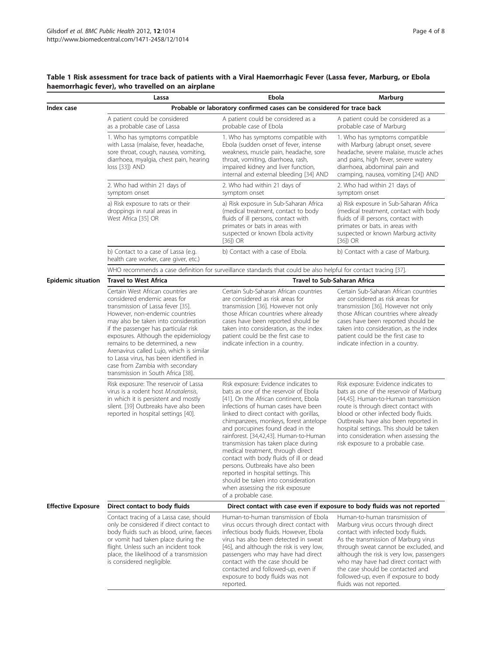|                           | Lassa                                                                                                                                                                                                                                                                                                                                                                                                                                                               | Ebola                                                                                                                                                                                                                                                                                                                                                                                                                                                                                                                                                                                                                               | Marburg                                                                                                                                                                                                                                                                                                                                                                                    |  |
|---------------------------|---------------------------------------------------------------------------------------------------------------------------------------------------------------------------------------------------------------------------------------------------------------------------------------------------------------------------------------------------------------------------------------------------------------------------------------------------------------------|-------------------------------------------------------------------------------------------------------------------------------------------------------------------------------------------------------------------------------------------------------------------------------------------------------------------------------------------------------------------------------------------------------------------------------------------------------------------------------------------------------------------------------------------------------------------------------------------------------------------------------------|--------------------------------------------------------------------------------------------------------------------------------------------------------------------------------------------------------------------------------------------------------------------------------------------------------------------------------------------------------------------------------------------|--|
| Index case                | Probable or laboratory confirmed cases can be considered for trace back                                                                                                                                                                                                                                                                                                                                                                                             |                                                                                                                                                                                                                                                                                                                                                                                                                                                                                                                                                                                                                                     |                                                                                                                                                                                                                                                                                                                                                                                            |  |
|                           | A patient could be considered<br>as a probable case of Lassa                                                                                                                                                                                                                                                                                                                                                                                                        | A patient could be considered as a<br>probable case of Ebola                                                                                                                                                                                                                                                                                                                                                                                                                                                                                                                                                                        | A patient could be considered as a<br>probable case of Marburg                                                                                                                                                                                                                                                                                                                             |  |
|                           | 1. Who has symptoms compatible<br>with Lassa (malaise, fever, headache,<br>sore throat, cough, nausea, vomiting,<br>diarrhoea, myalgia, chest pain, hearing<br>loss [33]) AND                                                                                                                                                                                                                                                                                       | 1. Who has symptoms compatible with<br>Ebola (sudden onset of fever, intense<br>weakness, muscle pain, headache, sore<br>throat, vomiting, diarrhoea, rash,<br>impaired kidney and liver function,<br>internal and external bleeding [34] AND                                                                                                                                                                                                                                                                                                                                                                                       | 1. Who has symptoms compatible<br>with Marburg (abrupt onset, severe<br>headache, severe malaise, muscle aches<br>and pains, high fever, severe watery<br>diarrhoea, abdominal pain and<br>cramping, nausea, vomiting [24]) AND                                                                                                                                                            |  |
|                           | 2. Who had within 21 days of<br>symptom onset                                                                                                                                                                                                                                                                                                                                                                                                                       | 2. Who had within 21 days of<br>symptom onset                                                                                                                                                                                                                                                                                                                                                                                                                                                                                                                                                                                       | 2. Who had within 21 days of<br>symptom onset                                                                                                                                                                                                                                                                                                                                              |  |
|                           | a) Risk exposure to rats or their<br>droppings in rural areas in<br>West Africa [35] OR                                                                                                                                                                                                                                                                                                                                                                             | a) Risk exposure in Sub-Saharan Africa<br>(medical treatment, contact to body<br>fluids of ill persons, contact with<br>primates or bats in areas with<br>suspected or known Ebola activity<br>$[36]$ ) OR                                                                                                                                                                                                                                                                                                                                                                                                                          | a) Risk exposure in Sub-Saharan Africa<br>(medical treatment, contact with body<br>fluids of ill persons, contact with<br>primates or bats. in areas with<br>suspected or known Marburg activity<br>$[36]$ ) OR                                                                                                                                                                            |  |
|                           | b) Contact to a case of Lassa (e.g.<br>health care worker, care giver, etc.)                                                                                                                                                                                                                                                                                                                                                                                        | b) Contact with a case of Ebola.                                                                                                                                                                                                                                                                                                                                                                                                                                                                                                                                                                                                    | b) Contact with a case of Marburg.                                                                                                                                                                                                                                                                                                                                                         |  |
|                           |                                                                                                                                                                                                                                                                                                                                                                                                                                                                     | WHO recommends a case definition for surveillance standards that could be also helpful for contact tracing [37].                                                                                                                                                                                                                                                                                                                                                                                                                                                                                                                    |                                                                                                                                                                                                                                                                                                                                                                                            |  |
| <b>Epidemic situation</b> | <b>Travel to West Africa</b>                                                                                                                                                                                                                                                                                                                                                                                                                                        | <b>Travel to Sub-Saharan Africa</b>                                                                                                                                                                                                                                                                                                                                                                                                                                                                                                                                                                                                 |                                                                                                                                                                                                                                                                                                                                                                                            |  |
|                           | Certain West African countries are<br>considered endemic areas for<br>transmission of Lassa fever [35].<br>However, non-endemic countries<br>may also be taken into consideration<br>if the passenger has particular risk<br>exposures. Although the epidemiology<br>remains to be determined, a new<br>Arenavirus called Lujo, which is similar<br>to Lassa virus, has been identified in<br>case from Zambia with secondary<br>transmission in South Africa [38]. | Certain Sub-Saharan African countries<br>are considered as risk areas for<br>transmission [36]. However not only<br>those African countries where already<br>cases have been reported should be<br>taken into consideration, as the index<br>patient could be the first case to<br>indicate infection in a country.                                                                                                                                                                                                                                                                                                                 | Certain Sub-Saharan African countries<br>are considered as risk areas for<br>transmission [36]. However not only<br>those African countries where already<br>cases have been reported should be<br>taken into consideration, as the index<br>patient could be the first case to<br>indicate infection in a country.                                                                        |  |
|                           | Risk exposure: The reservoir of Lassa<br>virus is a rodent host <i>M.natalensis.</i><br>in which it is persistent and mostly<br>silent. [39] Outbreaks have also been<br>reported in hospital settings [40].                                                                                                                                                                                                                                                        | Risk exposure: Evidence indicates to<br>bats as one of the reservoir of Ebola<br>[41]. On the African continent, Ebola<br>infections of human cases have been<br>linked to direct contact with gorillas,<br>chimpanzees, monkeys, forest antelope<br>and porcupines found dead in the<br>rainforest. [34,42,43]. Human-to-Human<br>transmission has taken place during<br>medical treatment, through direct<br>contact with body fluids of ill or dead<br>persons. Outbreaks have also been<br>reported in hospital settings. This<br>should be taken into consideration<br>when assessing the risk exposure<br>of a probable case. | Risk exposure: Evidence indicates to<br>bats as one of the reservoir of Marburg<br>[44,45]. Human-to-Human transmission<br>route is through direct contact with<br>blood or other infected body fluids.<br>Outbreaks have also been reported in<br>hospital settings. This should be taken<br>into consideration when assessing the<br>risk exposure to a probable case.                   |  |
| <b>Effective Exposure</b> | Direct contact to body fluids                                                                                                                                                                                                                                                                                                                                                                                                                                       | Direct contact with case even if exposure to body fluids was not reported                                                                                                                                                                                                                                                                                                                                                                                                                                                                                                                                                           |                                                                                                                                                                                                                                                                                                                                                                                            |  |
|                           | Contact tracing of a Lassa case, should<br>only be considered if direct contact to<br>body fluids such as blood, urine, faeces<br>or vomit had taken place during the<br>flight. Unless such an incident took<br>place, the likelihood of a transmission<br>is considered negligible.                                                                                                                                                                               | Human-to-human transmission of Ebola<br>virus occurs through direct contact with<br>infectious body fluids. However, Ebola<br>virus has also been detected in sweat<br>[46], and although the risk is very low,<br>passengers who may have had direct<br>contact with the case should be<br>contacted and followed-up, even if<br>exposure to body fluids was not<br>reported.                                                                                                                                                                                                                                                      | Human-to-human transmission of<br>Marburg virus occurs through direct<br>contact with infected body fluids.<br>As the transmission of Marburg virus<br>through sweat cannot be excluded, and<br>although the risk is very low, passengers<br>who may have had direct contact with<br>the case should be contacted and<br>followed-up, even if exposure to body<br>fluids was not reported. |  |

# <span id="page-3-0"></span>Table 1 Risk assessment for trace back of patients with a Viral Haemorrhagic Fever (Lassa fever, Marburg, or Ebola haemorrhagic fever), who travelled on an airplane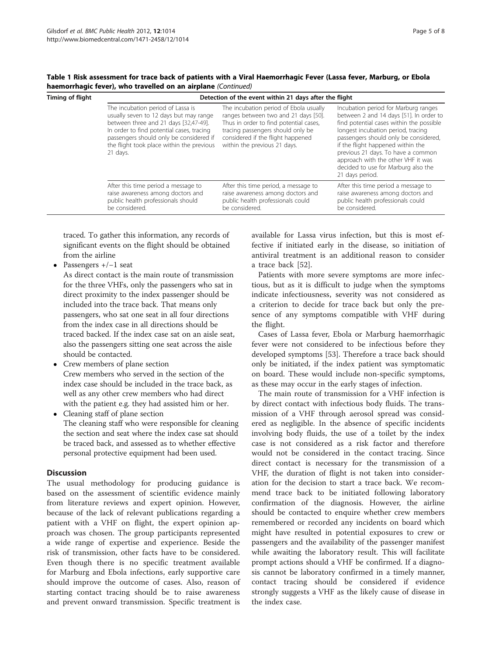Table 1 Risk assessment for trace back of patients with a Viral Haemorrhagic Fever (Lassa fever, Marburg, or Ebola haemorrhagic fever), who travelled on an airplane (Continued)

| Timing of flight | Detection of the event within 21 days after the flight                                                                                                                                                                                                                |                                                                                                                                                                                                                                    |                                                                                                                                                                                                                                                                                                                                                                                       |  |
|------------------|-----------------------------------------------------------------------------------------------------------------------------------------------------------------------------------------------------------------------------------------------------------------------|------------------------------------------------------------------------------------------------------------------------------------------------------------------------------------------------------------------------------------|---------------------------------------------------------------------------------------------------------------------------------------------------------------------------------------------------------------------------------------------------------------------------------------------------------------------------------------------------------------------------------------|--|
|                  | The incubation period of Lassa is<br>usually seven to 12 days but may range<br>between three and 21 days [32,47-49].<br>In order to find potential cases, tracing<br>passengers should only be considered if<br>the flight took place within the previous<br>21 days. | The incubation period of Ebola usually<br>ranges between two and 21 days [50].<br>Thus in order to find potential cases,<br>tracing passengers should only be<br>considered if the flight happened<br>within the previous 21 days. | Incubation period for Marburg ranges<br>between 2 and 14 days [51]. In order to<br>find potential cases within the possible<br>longest incubation period, tracing<br>passengers should only be considered,<br>if the flight happened within the<br>previous 21 days. To have a common<br>approach with the other VHF it was<br>decided to use for Marburg also the<br>21 days period. |  |
|                  | After this time period a message to<br>raise awareness among doctors and<br>public health professionals should<br>be considered.                                                                                                                                      | After this time period, a message to<br>raise awareness among doctors and<br>public health professionals could<br>be considered.                                                                                                   | After this time period a message to<br>raise awareness among doctors and<br>public health professionals could<br>be considered.                                                                                                                                                                                                                                                       |  |

traced. To gather this information, any records of significant events on the flight should be obtained from the airline

Passengers +/−1 seat

As direct contact is the main route of transmission for the three VHFs, only the passengers who sat in direct proximity to the index passenger should be included into the trace back. That means only passengers, who sat one seat in all four directions from the index case in all directions should be traced backed. If the index case sat on an aisle seat, also the passengers sitting one seat across the aisle should be contacted.

 Crew members of plane section Crew members who served in the section of the index case should be included in the trace back, as well as any other crew members who had direct with the patient e.g. they had assisted him or her.

• Cleaning staff of plane section The cleaning staff who were responsible for cleaning the section and seat where the index case sat should be traced back, and assessed as to whether effective personal protective equipment had been used.

# **Discussion**

The usual methodology for producing guidance is based on the assessment of scientific evidence mainly from literature reviews and expert opinion. However, because of the lack of relevant publications regarding a patient with a VHF on flight, the expert opinion approach was chosen. The group participants represented a wide range of expertise and experience. Beside the risk of transmission, other facts have to be considered. Even though there is no specific treatment available for Marburg and Ebola infections, early supportive care should improve the outcome of cases. Also, reason of starting contact tracing should be to raise awareness and prevent onward transmission. Specific treatment is

available for Lassa virus infection, but this is most effective if initiated early in the disease, so initiation of antiviral treatment is an additional reason to consider a trace back [[52\]](#page-7-0).

Patients with more severe symptoms are more infectious, but as it is difficult to judge when the symptoms indicate infectiousness, severity was not considered as a criterion to decide for trace back but only the presence of any symptoms compatible with VHF during the flight.

Cases of Lassa fever, Ebola or Marburg haemorrhagic fever were not considered to be infectious before they developed symptoms [\[53\]](#page-7-0). Therefore a trace back should only be initiated, if the index patient was symptomatic on board. These would include non-specific symptoms, as these may occur in the early stages of infection.

The main route of transmission for a VHF infection is by direct contact with infectious body fluids. The transmission of a VHF through aerosol spread was considered as negligible. In the absence of specific incidents involving body fluids, the use of a toilet by the index case is not considered as a risk factor and therefore would not be considered in the contact tracing. Since direct contact is necessary for the transmission of a VHF, the duration of flight is not taken into consideration for the decision to start a trace back. We recommend trace back to be initiated following laboratory confirmation of the diagnosis. However, the airline should be contacted to enquire whether crew members remembered or recorded any incidents on board which might have resulted in potential exposures to crew or passengers and the availability of the passenger manifest while awaiting the laboratory result. This will facilitate prompt actions should a VHF be confirmed. If a diagnosis cannot be laboratory confirmed in a timely manner, contact tracing should be considered if evidence strongly suggests a VHF as the likely cause of disease in the index case.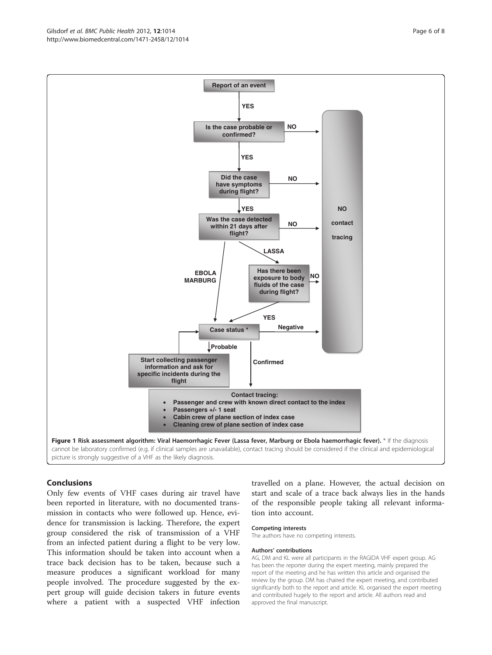<span id="page-5-0"></span>Gilsdorf et al. BMC Public Health 2012, 12:1014 Case of 8 and 2012, 12:1014 http://www.biomedcentral.com/1471-2458/12/1014



# Conclusions

Only few events of VHF cases during air travel have been reported in literature, with no documented transmission in contacts who were followed up. Hence, evidence for transmission is lacking. Therefore, the expert group considered the risk of transmission of a VHF from an infected patient during a flight to be very low. This information should be taken into account when a trace back decision has to be taken, because such a measure produces a significant workload for many people involved. The procedure suggested by the expert group will guide decision takers in future events where a patient with a suspected VHF infection

travelled on a plane. However, the actual decision on start and scale of a trace back always lies in the hands of the responsible people taking all relevant information into account.

# Competing interests

The authors have no competing interests.

#### Authors' contributions

AG, DM and KL were all participants in the RAGIDA VHF expert group. AG has been the reporter during the expert meeting, mainly prepared the report of the meeting and he has written this article and organised the review by the group. DM has chaired the expert meeting, and contributed significantly both to the report and article. KL organised the expert meeting and contributed hugely to the report and article. All authors read and approved the final manuscript.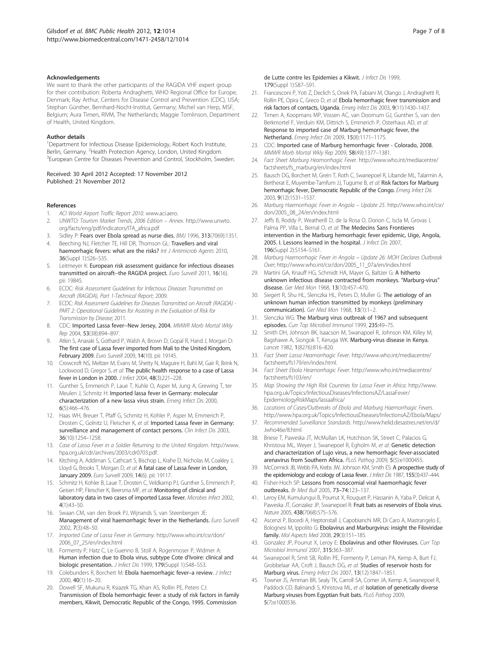#### <span id="page-6-0"></span>Acknowledgements

We want to thank the other participants of the RAGIDA VHF expert group for their contribution: Roberta Andraghetti, WHO Regional Office for Europe, Denmark; Ray Arthur, Centers for Disease Control and Prevention (CDC), USA; Stephan Günther, Bernhard-Nocht-Institut, Germany; Michel van Herp, MSF, Belgium; Aura Timen, RIVM, The Netherlands; Maggie Tomlinson, Department of Health, United Kingdom.

#### Author details

<sup>1</sup>Department for Infectious Disease Epidemiology, Robert Koch Institute, Berlin, Germany. <sup>2</sup>Health Protection Agency, London, United Kingdom.<br><sup>3</sup>European Centre for Diseases Prevention and Control Stockholm, Sw. <sup>3</sup>European Centre for Diseases Prevention and Control, Stockholm, Sweden.

Received: 30 April 2012 Accepted: 17 November 2012 Published: 21 November 2012

#### References

- ACI World Airport Traffic Report 2010. [www.aci.aero.](http://www.aci.aero)
- 2. UNWTO: Tourism Market Trends, 2006 Edition Annex. [http://www.unwto.](http://www.unwto.org/facts/eng/pdf/indicators/ITA_africa.pdf) [org/facts/eng/pdf/indicators/ITA\\_africa.pdf](http://www.unwto.org/facts/eng/pdf/indicators/ITA_africa.pdf)
- 3. Sidley P: Fears over Ebola spread as nurse dies. BMJ 1996, 313(7069):1351.
- 4. Beeching NJ, Fletcher TE, Hill DR, Thomson GL: Travellers and viral haemorrhagic fevers: what are the risks? Int J Antimicrob Agents 2010, 36(Suppl 1):S26–S35.
- 5. Leitmeyer K: European risk assessment guidance for infectious diseases transmitted on aircraft--the RAGIDA project. Euro Surveill 2011, 16(16). pii: 19845.
- 6. ECDC: Risk Assessment Guidelines for Infectious Diseases Transmitted on Aircraft (RAGIDA), Part 1-Technical Report; 2009.
- 7. ECDC: Risk Assessment Guidelines for Diseases Transmitted on Aircraft (RAGIDA) PART 2: Operational Guidelines for Assisting in the Evaluation of Risk for Transmission by Disease; 2011.
- 8. CDC: Imported Lassa fever--New Jersey, 2004. MMWR Morb Mortal Wkly Rep 2004, 53(38):894–897.
- Atkin S, Anaraki S, Gothard P, Walsh A, Brown D, Gopal R, Hand J, Morgan D: The first case of Lassa fever imported from Mali to the United Kingdom, February 2009. Euro Surveill 2009, 14(10). pii: 19145.
- 10. Crowcroft NS, Meltzer M, Evans M, Shetty N, Maguire H, Bahl M, Gair R, Brink N, Lockwood D, Gregor S, et al: The public health response to a case of Lassa fever in London in 2000. J Infect 2004, 48(3):221–228.
- 11. Gunther S, Emmerich P, Laue T, Kuhle O, Asper M, Jung A, Grewing T, ter Meulen J, Schmitz H: Imported lassa fever in Germany: molecular characterization of a new lassa virus strain. Emerg Infect Dis 2000, 6(5):466–476.
- 12. Haas WH, Breuer T, Pfaff G, Schmitz H, Kohler P, Asper M, Emmerich P, Drosten C, Golnitz U, Fleischer K, et al: Imported Lassa fever in Germany: surveillance and management of contact persons. Clin Infect Dis 2003, 36(10):1254–1258.
- 13. Case of Lassa Fever in a Soldier Returning to the United Kingdom. [http://www.](http://www.hpa.org.uk/cdr/archives/2003/cdr0703.pdf) [hpa.org.uk/cdr/archives/2003/cdr0703.pdf](http://www.hpa.org.uk/cdr/archives/2003/cdr0703.pdf).
- 14. Kitching A, Addiman S, Cathcart S, Bischop L, Krahe D, Nicholas M, Coakley J, Lloyd G, Brooks T, Morgan D, et al: A fatal case of Lassa fever in London, January 2009. Euro Surveill 2009, 14(6). pii: 19117.
- 15. Schmitz H, Kohler B, Laue T, Drosten C, Veldkamp PJ, Gunther S, Emmerich P, Geisen HP, Fleischer K, Beersma MF, et al: Monitoring of clinical and laboratory data in two cases of imported Lassa fever. Microbes Infect 2002, 4(1):43–50.
- 16. Swaan CM, van den Broek PJ, Wijnands S, van Steenbergen JE: Management of viral haemorrhagic fever in the Netherlands. Euro Surveill 2002, 7(3):48–50.
- 17. Imported Case of Lassa Fever in Germany. [http://www.who.int/csr/don/](http://www.who.int/csr/don/2006_07_25/en/index.html) [2006\\_07\\_25/en/index.html](http://www.who.int/csr/don/2006_07_25/en/index.html)
- 18. Formenty P, Hatz C, Le Guenno B, Stoll A, Rogenmoser P, Widmer A: Human infection due to Ebola virus, subtype Cote d'Ivoire: clinical and biologic presentation. J Infect Dis 1999, 179(Suppl 1):S48-S53.
- 19. Colebunders R, Borchert M: Ebola haemorrhagic fever-a review. J Infect 2000, 40(1):16–20.
- 20. Dowell SF, Mukunu R, Ksiazek TG, Khan AS, Rollin PE, Peters CJ: Transmission of Ebola hemorrhagic fever: a study of risk factors in family members, Kikwit, Democratic Republic of the Congo, 1995. Commission

de Lutte contre les Epidemies a Kikwit. J Infect Dis 1999, 179(Suppl 1):S87–S91.

- 21. Francesconi P, Yoti Z, Declich S, Onek PA, Fabiani M, Olango J, Andraghetti R, Rollin PE, Opira C, Greco D, et al: Ebola hemorrhagic fever transmission and risk factors of contacts, Uganda. Emerg Infect Dis 2003, 9(11):1430–1437.
- 22. Timen A, Koopmans MP, Vossen AC, van Doornum GJ, Gunther S, van den Berkmortel F, Verduin KM, Dittrich S, Emmerich P, Osterhaus AD, et al: Response to imported case of Marburg hemorrhagic fever, the Netherland. Emerg Infect Dis 2009, 15(8):1171–1175.
- 23. CDC: Imported case of Marburg hemorrhagic fever Colorado, 2008. MMWR Morb Mortal Wkly Rep 2009, 58(49):1377–1381.
- 24. Fact Sheet Marburg Heamorrhagic Fever. [http://www.who.int/mediacentre/](http://www.who.int/mediacentre/factsheets/fs_marburg/en/index.html) [factsheets/fs\\_marburg/en/index.html](http://www.who.int/mediacentre/factsheets/fs_marburg/en/index.html)
- 25. Bausch DG, Borchert M, Grein T, Roth C, Swanepoel R, Libande ML, Talarmin A, Bertherat E, Muyembe-Tamfum JJ, Tugume B, et al: Risk factors for Marburg hemorrhagic fever, Democratic Republic of the Congo. Emerg Infect Dis 2003, 9(12):1531–1537.
- 26. Marburg Haemorrhagic Fever in Angola Update 25. [http://www.who.int/csr/](http://www.who.int/csr/don/2005_08_24/en/index.html) [don/2005\\_08\\_24/en/index.html](http://www.who.int/csr/don/2005_08_24/en/index.html)
- 27. Jeffs B, Roddy P, Weatherill D, de la Rosa O, Dorion C, Iscla M, Grovas I, Palma PP, Villa L, Bernal O, et al: The Medecins Sans Frontieres intervention in the Marburg hemorrhagic fever epidemic, Uige, Angola, 2005. I. Lessons learned in the hospital. J Infect Dis 2007, 196(Suppl 2):S154–S161.
- 28. Marburg Haemorrhagic Fever in Angola Update 26: MOH Declares Outbreak Over; [http://www.who.int/csr/don/2005\\_11\\_07a/en/index.html](http://www.who.int/csr/don/2005_11_07a/en/index.html)
- 29. Martini GA, Knauff HG, Schmidt HA, Mayer G, Baltzer G: A hitherto unknown infectious disease contracted from monkeys. "Marburg-virus" disease. Ger Med Mon 1968, 13(10):457–470.
- 30. Siegert R, Shu HL, Slenczka HL, Peters D, Muller G: The aetiology of an unknown human infection transmitted by monkeys (preliminary communication). Ger Med Mon 1968, 13(1):1–2.
- 31. Slenczka WG: The Marburg virus outbreak of 1967 and subsequent episodes. Curr Top Microbiol Immunol 1999, 235:49–75.
- 32. Smith DH, Johnson BK, Isaacson M, Swanapoel R, Johnson KM, Killey M, Bagshawe A, Siongok T, Keruga WK: Marburg-virus disease in Kenya. Lancet 1982, 1(8276):816–820.
- 33. Fact Sheet Lassa Heamorrhagic Fever. [http://www.who.int/mediacentre/](http://www.who.int/mediacentre/factsheets/fs179/en/index.html) [factsheets/fs179/en/index.html](http://www.who.int/mediacentre/factsheets/fs179/en/index.html).
- Fact Sheet Ebola Heamorrhagic Fever. [http://www.who.int/mediacentre/](http://www.who.int/mediacentre/factsheets/fs103/en/) [factsheets/fs103/en/](http://www.who.int/mediacentre/factsheets/fs103/en/)
- 35. Map Showing the High Risk Countries for Lassa Fever in Africa. [http://www.](http://www.hpa.org.uk/Topics/InfectiousDiseases/InfectionsAZ/LassaFever/EpidemiologyRiskMaps/lassaafrica/) [hpa.org.uk/Topics/InfectiousDiseases/InfectionsAZ/LassaFever/](http://www.hpa.org.uk/Topics/InfectiousDiseases/InfectionsAZ/LassaFever/EpidemiologyRiskMaps/lassaafrica/) [EpidemiologyRiskMaps/lassaafrica/](http://www.hpa.org.uk/Topics/InfectiousDiseases/InfectionsAZ/LassaFever/EpidemiologyRiskMaps/lassaafrica/)
- 36. Locations of Cases/Outbreaks of Ebola and Marburg Haemorrhagic Fevers. <http://www.hpa.org.uk/Topics/InfectiousDiseases/InfectionsAZ/Ebola/Maps/>
- 37. Recommended Surveillance Standards. [http://www.helid.desastres.net/en/d/](http://www.helid.desastres.net/en/d/Jwho46e/8.html) [Jwho46e/8.html](http://www.helid.desastres.net/en/d/Jwho46e/8.html)
- 38. Briese T, Paweska JT, McMullan LK, Hutchison SK, Street C, Palacios G, Khristova ML, Weyer J, Swanepoel R, Egholm M, et al: Genetic detection and characterization of Lujo virus, a new hemorrhagic fever-associated arenavirus from Southern Africa. PLoS Pathog 2009, 5(5):e1000455.
- 39. McCormick JB, Webb PA, Krebs JW, Johnson KM, Smith ES: A prospective study of the epidemiology and ecology of Lassa fever. J Infect Dis 1987, 155(3):437-444.
- 40. Fisher-Hoch SP: Lessons from nosocomial viral haemorrhagic fever outbreaks. Br Med Bull 2005, 73–74:123–137.
- 41. Leroy EM, Kumulungui B, Pourrut X, Rouquet P, Hassanin A, Yaba P, Delicat A, Paweska JT, Gonzalez JP, Swanepoel R: Fruit bats as reservoirs of Ebola virus. Nature 2005, 438(7068):575–576.
- 42. Ascenzi P, Bocedi A, Heptonstall J, Capobianchi MR, Di Caro A, Mastrangelo E, Bolognesi M, Ippolito G: Ebolavirus and Marburgvirus: insight the Filoviridae family. Mol Aspects Med 2008, 29(3):151–185.
- 43. Gonzalez JP, Pourrut X, Leroy E: Ebolavirus and other filoviruses. Curr Top Microbiol Immunol 2007, 315:363–387.
- 44. Swanepoel R, Smit SB, Rollin PE, Formenty P, Leman PA, Kemp A, Burt FJ, Grobbelaar AA, Croft J, Bausch DG, et al: Studies of reservoir hosts for Marburg virus. Emerg Infect Dis 2007, 13(12):1847–1851.
- 45. Towner JS, Amman BR, Sealy TK, Carroll SA, Comer JA, Kemp A, Swanepoel R, Paddock CD, Balinandi S, Khristova ML, et al: Isolation of genetically diverse Marburg viruses from Egyptian fruit bats. PLoS Pathog 2009, 5(7):e1000536.